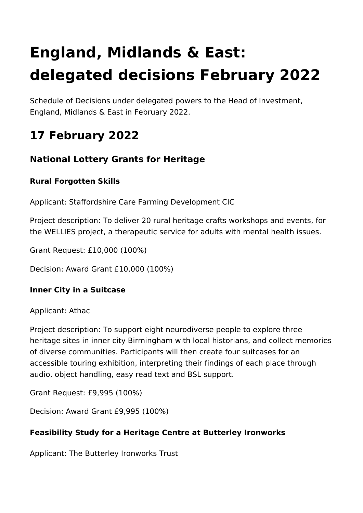# **England, Midlands & East: delegated decisions February 2022**

Schedule of Decisions under delegated powers to the Head of Investment, England, Midlands & East in February 2022.

# **17 February 2022**

## **National Lottery Grants for Heritage**

#### **Rural Forgotten Skills**

Applicant: Staffordshire Care Farming Development CIC

Project description: To deliver 20 rural heritage crafts workshops and events, for the WELLIES project, a therapeutic service for adults with mental health issues.

Grant Request: £10,000 (100%)

Decision: Award Grant £10,000 (100%)

#### **Inner City in a Suitcase**

Applicant: Athac

Project description: To support eight neurodiverse people to explore three heritage sites in inner city Birmingham with local historians, and collect memories of diverse communities. Participants will then create four suitcases for an accessible touring exhibition, interpreting their findings of each place through audio, object handling, easy read text and BSL support.

Grant Request: £9,995 (100%)

Decision: Award Grant £9,995 (100%)

#### **Feasibility Study for a Heritage Centre at Butterley Ironworks**

Applicant: The Butterley Ironworks Trust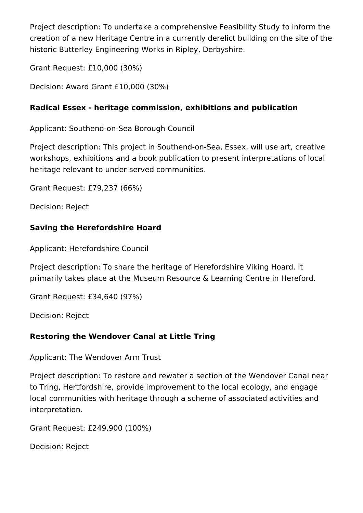Project description: To undertake a comprehensive Feasibility Study to inform the creation of a new Heritage Centre in a currently derelict building on the site of the historic Butterley Engineering Works in Ripley, Derbyshire.

Grant Request: £10,000 (30%)

Decision: Award Grant £10,000 (30%)

#### **Radical Essex - heritage commission, exhibitions and publication**

Applicant: Southend-on-Sea Borough Council

Project description: This project in Southend-on-Sea, Essex, will use art, creative workshops, exhibitions and a book publication to present interpretations of local heritage relevant to under-served communities.

Grant Request: £79,237 (66%)

Decision: Reject

#### **Saving the Herefordshire Hoard**

Applicant: Herefordshire Council

Project description: To share the heritage of Herefordshire Viking Hoard. It primarily takes place at the Museum Resource & Learning Centre in Hereford.

Grant Request: £34,640 (97%)

Decision: Reject

### **Restoring the Wendover Canal at Little Tring**

Applicant: The Wendover Arm Trust

Project description: To restore and rewater a section of the Wendover Canal near to Tring, Hertfordshire, provide improvement to the local ecology, and engage local communities with heritage through a scheme of associated activities and interpretation.

Grant Request: £249,900 (100%)

Decision: Reject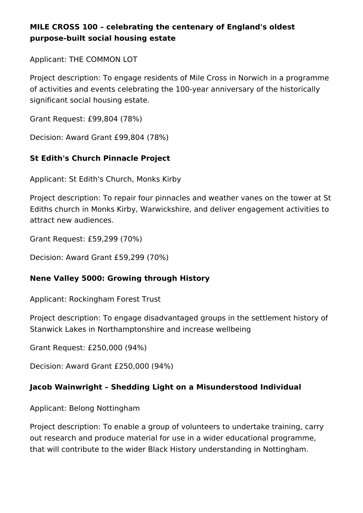#### **MILE CROSS 100 – celebrating the centenary of England's oldest purpose-built social housing estate**

Applicant: THE COMMON LOT

Project description: To engage residents of Mile Cross in Norwich in a programme of activities and events celebrating the 100-year anniversary of the historically significant social housing estate.

Grant Request: £99,804 (78%)

Decision: Award Grant £99,804 (78%)

#### **St Edith's Church Pinnacle Project**

Applicant: St Edith's Church, Monks Kirby

Project description: To repair four pinnacles and weather vanes on the tower at St Ediths church in Monks Kirby, Warwickshire, and deliver engagement activities to attract new audiences.

Grant Request: £59,299 (70%)

Decision: Award Grant £59,299 (70%)

#### **Nene Valley 5000: Growing through History**

Applicant: Rockingham Forest Trust

Project description: To engage disadvantaged groups in the settlement history of Stanwick Lakes in Northamptonshire and increase wellbeing

Grant Request: £250,000 (94%)

Decision: Award Grant £250,000 (94%)

#### **Jacob Wainwright – Shedding Light on a Misunderstood Individual**

Applicant: Belong Nottingham

Project description: To enable a group of volunteers to undertake training, carry out research and produce material for use in a wider educational programme, that will contribute to the wider Black History understanding in Nottingham.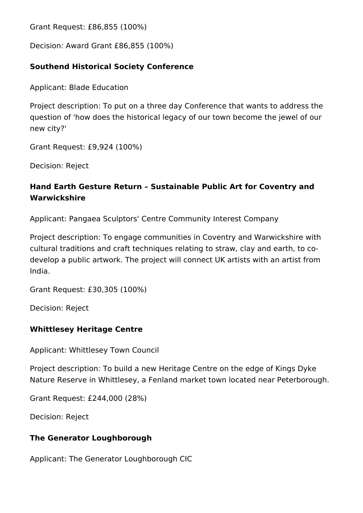Grant Request: £86,855 (100%)

Decision: Award Grant £86,855 (100%)

#### **Southend Historical Society Conference**

Applicant: Blade Education

Project description: To put on a three day Conference that wants to address the question of 'how does the historical legacy of our town become the jewel of our new city?'

Grant Request: £9,924 (100%)

Decision: Reject

#### **Hand Earth Gesture Return – Sustainable Public Art for Coventry and Warwickshire**

Applicant: Pangaea Sculptors' Centre Community Interest Company

Project description: To engage communities in Coventry and Warwickshire with cultural traditions and craft techniques relating to straw, clay and earth, to codevelop a public artwork. The project will connect UK artists with an artist from India.

Grant Request: £30,305 (100%)

Decision: Reject

#### **Whittlesey Heritage Centre**

Applicant: Whittlesey Town Council

Project description: To build a new Heritage Centre on the edge of Kings Dyke Nature Reserve in Whittlesey, a Fenland market town located near Peterborough.

Grant Request: £244,000 (28%)

Decision: Reject

#### **The Generator Loughborough**

Applicant: The Generator Loughborough CIC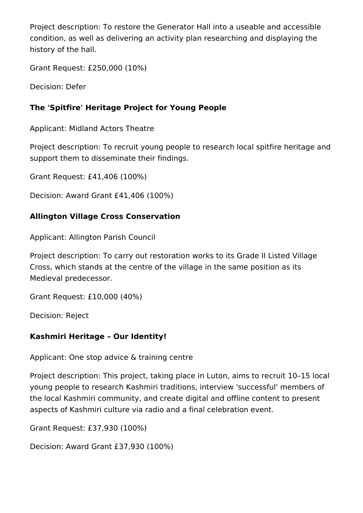Project description: To restore the Generator Hall into a useable and accessible condition, as well as delivering an activity plan researching and displaying the history of the hall.

Grant Request: £250,000 (10%)

Decision: Defer

#### **The 'Spitfire' Heritage Project for Young People**

Applicant: Midland Actors Theatre

Project description: To recruit young people to research local spitfire heritage and support them to disseminate their findings.

Grant Request: £41,406 (100%)

Decision: Award Grant £41,406 (100%)

#### **Allington Village Cross Conservation**

Applicant: Allington Parish Council

Project description: To carry out restoration works to its Grade II Listed Village Cross, which stands at the centre of the village in the same position as its Medieval predecessor.

Grant Request: £10,000 (40%)

Decision: Reject

#### **Kashmiri Heritage – Our Identity!**

Applicant: One stop advice & training centre

Project description: This project, taking place in Luton, aims to recruit 10–15 local young people to research Kashmiri traditions, interview 'successful' members of the local Kashmiri community, and create digital and offline content to present aspects of Kashmiri culture via radio and a final celebration event.

Grant Request: £37,930 (100%)

Decision: Award Grant £37,930 (100%)